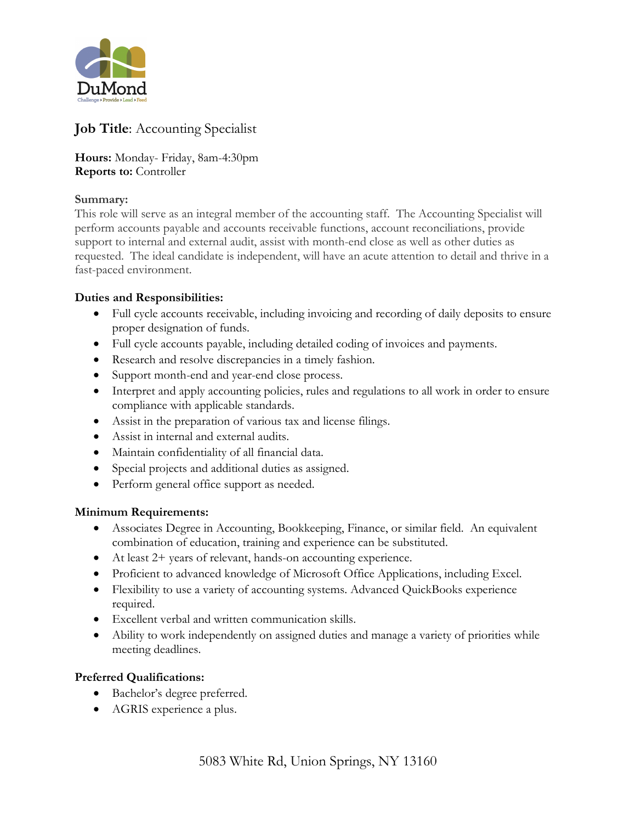

# **Job Title**: Accounting Specialist

**Hours:** Monday- Friday, 8am-4:30pm **Reports to:** Controller

#### **Summary:**

This role will serve as an integral member of the accounting staff. The Accounting Specialist will perform accounts payable and accounts receivable functions, account reconciliations, provide support to internal and external audit, assist with month-end close as well as other duties as requested. The ideal candidate is independent, will have an acute attention to detail and thrive in a fast-paced environment.

#### **Duties and Responsibilities:**

- Full cycle accounts receivable, including invoicing and recording of daily deposits to ensure proper designation of funds.
- Full cycle accounts payable, including detailed coding of invoices and payments.
- Research and resolve discrepancies in a timely fashion.
- Support month-end and year-end close process.
- Interpret and apply accounting policies, rules and regulations to all work in order to ensure compliance with applicable standards.
- Assist in the preparation of various tax and license filings.
- Assist in internal and external audits.
- Maintain confidentiality of all financial data.
- Special projects and additional duties as assigned.
- Perform general office support as needed.

## **Minimum Requirements:**

- Associates Degree in Accounting, Bookkeeping, Finance, or similar field. An equivalent combination of education, training and experience can be substituted.
- At least 2+ years of relevant, hands-on accounting experience.
- Proficient to advanced knowledge of Microsoft Office Applications, including Excel.
- Flexibility to use a variety of accounting systems. Advanced QuickBooks experience required.
- Excellent verbal and written communication skills.
- Ability to work independently on assigned duties and manage a variety of priorities while meeting deadlines.

## **Preferred Qualifications:**

- Bachelor's degree preferred.
- AGRIS experience a plus.